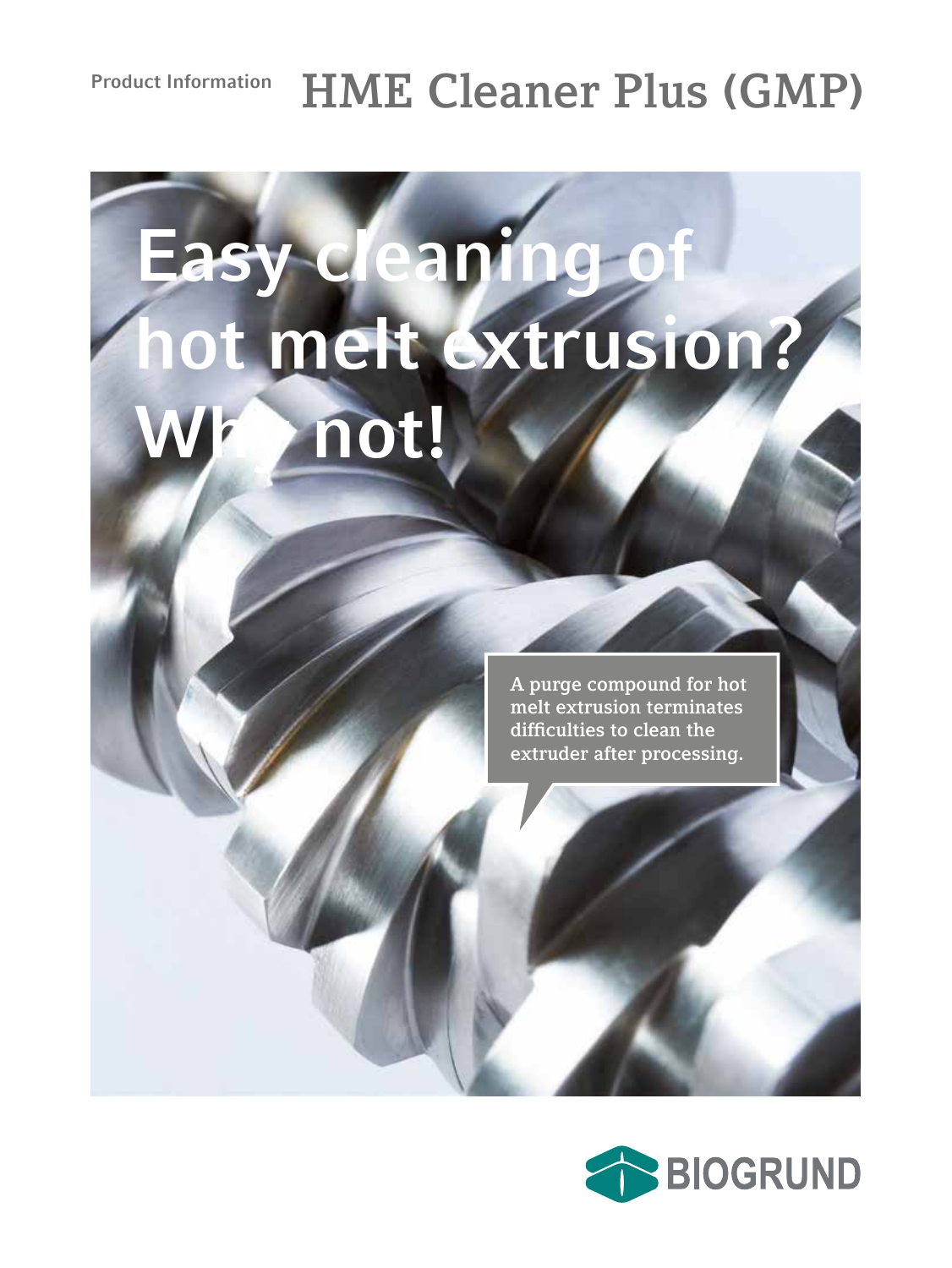## **Product Information HME Cleaner Plus (GMP)**

# Easy cleaning o **hot melt extrusion?** not!

**A purge compound for hot melt extrusion terminates difficulties to clean the extruder after processing.**